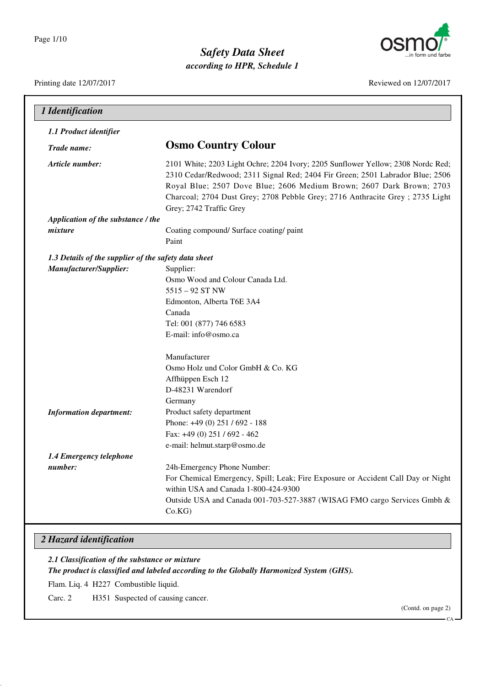

### *Safety Data Sheet according to HPR, Schedule 1*

Printing date 12/07/2017 Reviewed on 12/07/2017

| 1 Identification                                     |                                                                                                                                                                                                                                                                                                                                                       |
|------------------------------------------------------|-------------------------------------------------------------------------------------------------------------------------------------------------------------------------------------------------------------------------------------------------------------------------------------------------------------------------------------------------------|
| 1.1 Product identifier                               |                                                                                                                                                                                                                                                                                                                                                       |
| Trade name:                                          | <b>Osmo Country Colour</b>                                                                                                                                                                                                                                                                                                                            |
| Article number:                                      | 2101 White; 2203 Light Ochre; 2204 Ivory; 2205 Sunflower Yellow; 2308 Nordc Red;<br>2310 Cedar/Redwood; 2311 Signal Red; 2404 Fir Green; 2501 Labrador Blue; 2506<br>Royal Blue; 2507 Dove Blue; 2606 Medium Brown; 2607 Dark Brown; 2703<br>Charcoal; 2704 Dust Grey; 2708 Pebble Grey; 2716 Anthracite Grey ; 2735 Light<br>Grey; 2742 Traffic Grey |
| Application of the substance / the                   |                                                                                                                                                                                                                                                                                                                                                       |
| mixture                                              | Coating compound/ Surface coating/ paint<br>Paint                                                                                                                                                                                                                                                                                                     |
| 1.3 Details of the supplier of the safety data sheet |                                                                                                                                                                                                                                                                                                                                                       |
| Manufacturer/Supplier:                               | Supplier:                                                                                                                                                                                                                                                                                                                                             |
|                                                      | Osmo Wood and Colour Canada Ltd.                                                                                                                                                                                                                                                                                                                      |
|                                                      | $5515 - 92$ ST NW                                                                                                                                                                                                                                                                                                                                     |
|                                                      | Edmonton, Alberta T6E 3A4                                                                                                                                                                                                                                                                                                                             |
|                                                      | Canada                                                                                                                                                                                                                                                                                                                                                |
|                                                      | Tel: 001 (877) 746 6583                                                                                                                                                                                                                                                                                                                               |
|                                                      | E-mail: info@osmo.ca                                                                                                                                                                                                                                                                                                                                  |
|                                                      | Manufacturer                                                                                                                                                                                                                                                                                                                                          |
|                                                      | Osmo Holz und Color GmbH & Co. KG                                                                                                                                                                                                                                                                                                                     |
|                                                      | Affhüppen Esch 12                                                                                                                                                                                                                                                                                                                                     |
|                                                      | D-48231 Warendorf                                                                                                                                                                                                                                                                                                                                     |
|                                                      | Germany                                                                                                                                                                                                                                                                                                                                               |
| <b>Information department:</b>                       | Product safety department                                                                                                                                                                                                                                                                                                                             |
|                                                      | Phone: +49 (0) 251 / 692 - 188                                                                                                                                                                                                                                                                                                                        |
|                                                      | Fax: +49 (0) 251 / 692 - 462                                                                                                                                                                                                                                                                                                                          |
|                                                      | e-mail: helmut.starp@osmo.de                                                                                                                                                                                                                                                                                                                          |
| 1.4 Emergency telephone                              |                                                                                                                                                                                                                                                                                                                                                       |
| number:                                              | 24h-Emergency Phone Number:                                                                                                                                                                                                                                                                                                                           |
|                                                      | For Chemical Emergency, Spill; Leak; Fire Exposure or Accident Call Day or Night                                                                                                                                                                                                                                                                      |
|                                                      | within USA and Canada 1-800-424-9300                                                                                                                                                                                                                                                                                                                  |
|                                                      | Outside USA and Canada 001-703-527-3887 (WISAG FMO cargo Services Gmbh &                                                                                                                                                                                                                                                                              |
|                                                      | Co.KG                                                                                                                                                                                                                                                                                                                                                 |

#### *2 Hazard identification*

*2.1 Classification of the substance or mixture The product is classified and labeled according to the Globally Harmonized System (GHS).*

Flam. Liq. 4 H227 Combustible liquid.

Carc. 2 H351 Suspected of causing cancer.

(Contd. on page 2)

CA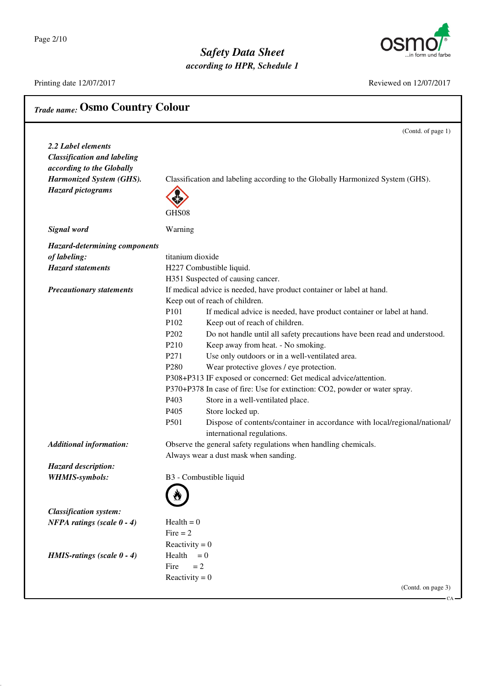Page 2/10

### *Safety Data Sheet according to HPR, Schedule 1*



Printing date 12/07/2017 Reviewed on 12/07/2017

CA

| <b>Trade name: Osmo Country Colour</b> |                               |                                                                                |
|----------------------------------------|-------------------------------|--------------------------------------------------------------------------------|
|                                        |                               | (Contd. of page 1)                                                             |
| 2.2 Label elements                     |                               |                                                                                |
| <b>Classification and labeling</b>     |                               |                                                                                |
| according to the Globally              |                               |                                                                                |
| Harmonized System (GHS).               |                               | Classification and labeling according to the Globally Harmonized System (GHS). |
| <b>Hazard pictograms</b>               |                               |                                                                                |
|                                        | GHS08                         |                                                                                |
| <b>Signal</b> word                     | Warning                       |                                                                                |
| <b>Hazard-determining components</b>   |                               |                                                                                |
| of labeling:                           | titanium dioxide              |                                                                                |
| <b>Hazard statements</b>               |                               | H227 Combustible liquid.                                                       |
|                                        |                               | H351 Suspected of causing cancer.                                              |
| <b>Precautionary statements</b>        |                               | If medical advice is needed, have product container or label at hand.          |
|                                        |                               | Keep out of reach of children.                                                 |
|                                        | P <sub>101</sub>              | If medical advice is needed, have product container or label at hand.          |
|                                        | P102                          | Keep out of reach of children.                                                 |
|                                        | P <sub>2</sub> 0 <sub>2</sub> | Do not handle until all safety precautions have been read and understood.      |
|                                        | P <sub>210</sub>              | Keep away from heat. - No smoking.                                             |
|                                        | P <sub>271</sub>              | Use only outdoors or in a well-ventilated area.                                |
|                                        | P <sub>280</sub>              | Wear protective gloves / eye protection.                                       |
|                                        |                               | P308+P313 IF exposed or concerned: Get medical advice/attention.               |
|                                        |                               | P370+P378 In case of fire: Use for extinction: CO2, powder or water spray.     |
|                                        | P <sub>40</sub> 3             | Store in a well-ventilated place.                                              |
|                                        | P405                          | Store locked up.                                                               |
|                                        | P501                          | Dispose of contents/container in accordance with local/regional/national/      |
|                                        |                               | international regulations.                                                     |
| <b>Additional information:</b>         |                               | Observe the general safety regulations when handling chemicals.                |
|                                        |                               | Always wear a dust mask when sanding.                                          |
| <b>Hazard description:</b>             |                               |                                                                                |
| <b>WHMIS-symbols:</b>                  |                               | B3 - Combustible liquid                                                        |
|                                        |                               |                                                                                |
|                                        |                               |                                                                                |
| <b>Classification system:</b>          |                               |                                                                                |
| <b>NFPA</b> ratings (scale $0 - 4$ )   | $Health = 0$                  |                                                                                |
|                                        | Fire $= 2$                    |                                                                                |
|                                        | Reactivity = $0$              |                                                                                |
| HMIS-ratings (scale $0 - 4$ )          | Health $= 0$                  |                                                                                |
|                                        | Fire<br>$= 2$                 |                                                                                |
|                                        | Reactivity = $0$              |                                                                                |
|                                        |                               | (Contd. on page 3)                                                             |
|                                        |                               |                                                                                |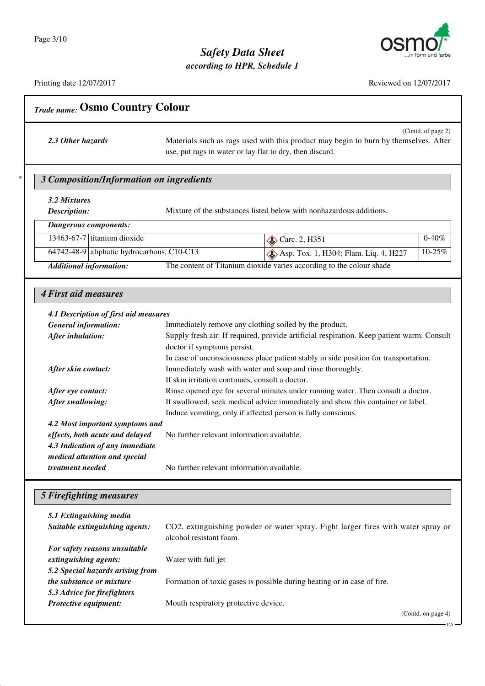

CA

## *Safety Data Sheet*

*according to HPR, Schedule 1*

Printing date 12/07/2017 Reviewed on 12/07/2017

| 10011011000011120112011 |  |
|-------------------------|--|
|                         |  |
|                         |  |
|                         |  |
|                         |  |

(Contd. of page 2) 2.3 Other hazards Materials such as rags used with this product may begin to burn by themselves. After use, put rags in water or lay flat to dry, then discard.

### \* *3 Composition/Information on ingredients*

*Trade name:* **Osmo Country Colour**

### *3.2 Mixtures*

**Description:** Mixture of the substances listed below with nonhazardous additions.

#### *Dangerous components:*

|                                | 13463-67-7 titanium dioxide                             | $\otimes$ Carc. 2, H351                                              | $0-40%$ |
|--------------------------------|---------------------------------------------------------|----------------------------------------------------------------------|---------|
|                                | 64742-48-9 aliphatic hydrocarbons, $\overline{C10-C13}$ | $\otimes$ Asp. Tox. 1, H304; Flam. Liq. 4, H227                      | 10-25%  |
| <b>Additional information:</b> |                                                         | The content of Titanium dioxide varies according to the colour shade |         |

#### *4 First aid measures*

#### *4.1 Description of first aid measures*

| <b>General information:</b>     | Immediately remove any clothing soiled by the product.                                    |
|---------------------------------|-------------------------------------------------------------------------------------------|
| After inhalation:               | Supply fresh air. If required, provide artificial respiration. Keep patient warm. Consult |
|                                 | doctor if symptoms persist.                                                               |
|                                 | In case of unconsciousness place patient stably in side position for transportation.      |
| After skin contact:             | Immediately wash with water and soap and rinse thoroughly.                                |
|                                 | If skin irritation continues, consult a doctor.                                           |
| After eye contact:              | Rinse opened eye for several minutes under running water. Then consult a doctor.          |
| After swallowing:               | If swallowed, seek medical advice immediately and show this container or label.           |
|                                 | Induce vomiting, only if affected person is fully conscious.                              |
| 4.2 Most important symptoms and |                                                                                           |
| effects, both acute and delayed | No further relevant information available.                                                |
| 4.3 Indication of any immediate |                                                                                           |
| medical attention and special   |                                                                                           |
| treatment needed                | No further relevant information available.                                                |

#### *5 Firefighting measures*

| 5.1 Extinguishing media<br>Suitable extinguishing agents: | CO2, extinguishing powder or water spray. Fight larger fires with water spray or<br>alcohol resistant foam. |
|-----------------------------------------------------------|-------------------------------------------------------------------------------------------------------------|
| For safety reasons unsuitable                             |                                                                                                             |
| extinguishing agents:                                     | Water with full jet                                                                                         |
| 5.2 Special hazards arising from                          |                                                                                                             |
| <i>the substance or mixture</i>                           | Formation of toxic gases is possible during heating or in case of fire.                                     |
| 5.3 Advice for firefighters                               |                                                                                                             |
| Protective equipment:                                     | Mouth respiratory protective device.                                                                        |
|                                                           | (Contd. on page 4)                                                                                          |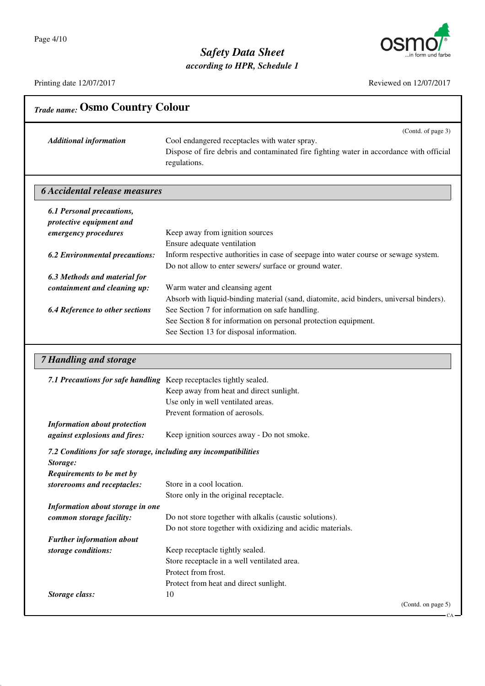

*according to HPR, Schedule 1*

| <b>Trade name: Osmo Country Colour</b>                                                                    |                                                                                                                                                                                                                                                           |
|-----------------------------------------------------------------------------------------------------------|-----------------------------------------------------------------------------------------------------------------------------------------------------------------------------------------------------------------------------------------------------------|
| <b>Additional information</b>                                                                             | (Contd. of page 3)<br>Cool endangered receptacles with water spray.<br>Dispose of fire debris and contaminated fire fighting water in accordance with official<br>regulations.                                                                            |
| <b>6 Accidental release measures</b>                                                                      |                                                                                                                                                                                                                                                           |
| <b>6.1 Personal precautions,</b><br>protective equipment and<br>emergency procedures                      | Keep away from ignition sources                                                                                                                                                                                                                           |
| <b>6.2 Environmental precautions:</b>                                                                     | Ensure adequate ventilation<br>Inform respective authorities in case of seepage into water course or sewage system.<br>Do not allow to enter sewers/ surface or ground water.                                                                             |
| 6.3 Methods and material for<br>containment and cleaning up:                                              | Warm water and cleansing agent                                                                                                                                                                                                                            |
| <b>6.4 Reference to other sections</b>                                                                    | Absorb with liquid-binding material (sand, diatomite, acid binders, universal binders).<br>See Section 7 for information on safe handling.<br>See Section 8 for information on personal protection equipment.<br>See Section 13 for disposal information. |
| <b>7 Handling and storage</b>                                                                             |                                                                                                                                                                                                                                                           |
| 7.1 Precautions for safe handling Keep receptacles tightly sealed.                                        | Keep away from heat and direct sunlight.<br>Use only in well ventilated areas.<br>Prevent formation of aerosols.                                                                                                                                          |
| <b>Information about protection</b><br>against explosions and fires:                                      | Keep ignition sources away - Do not smoke.                                                                                                                                                                                                                |
| 7.2 Conditions for safe storage, including any incompatibilities<br>Storage:<br>Requirements to be met by |                                                                                                                                                                                                                                                           |
| storerooms and receptacles:                                                                               | Store in a cool location.<br>Store only in the original receptacle.                                                                                                                                                                                       |
| Information about storage in one<br>common storage facility:                                              | Do not store together with alkalis (caustic solutions).<br>Do not store together with oxidizing and acidic materials.                                                                                                                                     |
| <b>Further information about</b>                                                                          |                                                                                                                                                                                                                                                           |
| storage conditions:                                                                                       | Keep receptacle tightly sealed.<br>Store receptacle in a well ventilated area.<br>Protect from frost.<br>Protect from heat and direct sunlight.                                                                                                           |
| Storage class:                                                                                            | 10<br>(Contd. on page 5)                                                                                                                                                                                                                                  |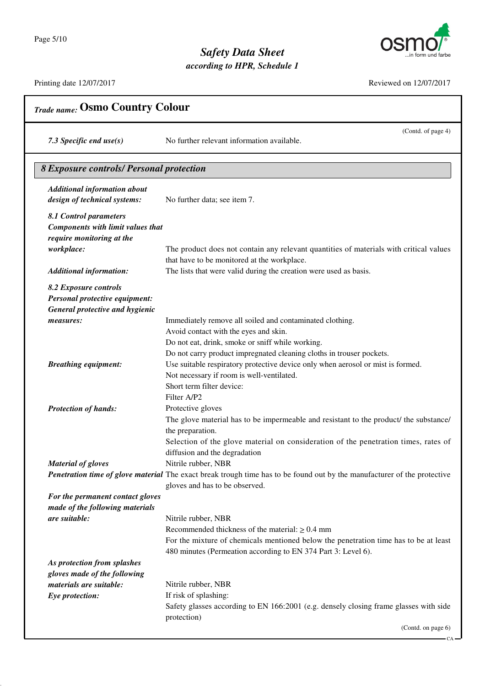

*according to HPR, Schedule 1*

Printing date 12/07/2017

| Reviewed on 12/07/2017 |  |
|------------------------|--|

CA

| <b>Trade name: Osmo Country Colour</b>          |                                                                                                                          |  |
|-------------------------------------------------|--------------------------------------------------------------------------------------------------------------------------|--|
| 7.3 Specific end $use(s)$                       | (Contd. of page 4)<br>No further relevant information available.                                                         |  |
| <b>8 Exposure controls/ Personal protection</b> |                                                                                                                          |  |
| <b>Additional information about</b>             |                                                                                                                          |  |
| design of technical systems:                    | No further data; see item 7.                                                                                             |  |
| 8.1 Control parameters                          |                                                                                                                          |  |
| <b>Components with limit values that</b>        |                                                                                                                          |  |
| require monitoring at the<br>workplace:         | The product does not contain any relevant quantities of materials with critical values                                   |  |
|                                                 | that have to be monitored at the workplace.                                                                              |  |
| <b>Additional information:</b>                  | The lists that were valid during the creation were used as basis.                                                        |  |
| 8.2 Exposure controls                           |                                                                                                                          |  |
| Personal protective equipment:                  |                                                                                                                          |  |
| <b>General protective and hygienic</b>          |                                                                                                                          |  |
| measures:                                       | Immediately remove all soiled and contaminated clothing.                                                                 |  |
|                                                 | Avoid contact with the eyes and skin.<br>Do not eat, drink, smoke or sniff while working.                                |  |
|                                                 | Do not carry product impregnated cleaning cloths in trouser pockets.                                                     |  |
| <b>Breathing equipment:</b>                     | Use suitable respiratory protective device only when aerosol or mist is formed.                                          |  |
|                                                 | Not necessary if room is well-ventilated.                                                                                |  |
|                                                 | Short term filter device:                                                                                                |  |
|                                                 | Filter A/P2                                                                                                              |  |
| <b>Protection of hands:</b>                     | Protective gloves                                                                                                        |  |
|                                                 | The glove material has to be impermeable and resistant to the product/ the substance/                                    |  |
|                                                 | the preparation.                                                                                                         |  |
|                                                 | Selection of the glove material on consideration of the penetration times, rates of<br>diffusion and the degradation     |  |
| Material of gloves                              | Nitrile rubber, NBR                                                                                                      |  |
|                                                 | Penetration time of glove material The exact break trough time has to be found out by the manufacturer of the protective |  |
|                                                 | gloves and has to be observed.                                                                                           |  |
| For the permanent contact gloves                |                                                                                                                          |  |
| made of the following materials                 |                                                                                                                          |  |
| are suitable:                                   | Nitrile rubber, NBR                                                                                                      |  |
|                                                 | Recommended thickness of the material: $\geq 0.4$ mm                                                                     |  |
|                                                 | For the mixture of chemicals mentioned below the penetration time has to be at least                                     |  |
| As protection from splashes                     | 480 minutes (Permeation according to EN 374 Part 3: Level 6).                                                            |  |
| gloves made of the following                    |                                                                                                                          |  |
| materials are suitable:                         | Nitrile rubber, NBR                                                                                                      |  |
| Eye protection:                                 | If risk of splashing:                                                                                                    |  |
|                                                 | Safety glasses according to EN 166:2001 (e.g. densely closing frame glasses with side                                    |  |
|                                                 | protection)                                                                                                              |  |
|                                                 | (Contd. on page 6)                                                                                                       |  |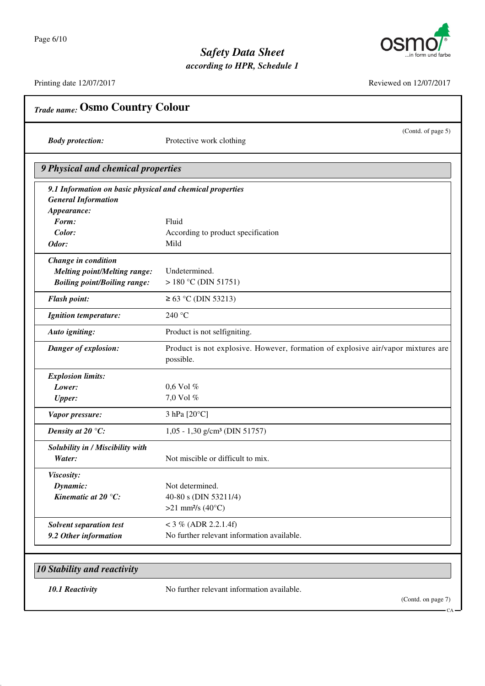

*according to HPR, Schedule 1*

| <b>Body protection:</b>                                   | (Contd. of page 5)<br>Protective work clothing                                                |
|-----------------------------------------------------------|-----------------------------------------------------------------------------------------------|
| 9 Physical and chemical properties                        |                                                                                               |
| 9.1 Information on basic physical and chemical properties |                                                                                               |
| <b>General Information</b>                                |                                                                                               |
| Appearance:                                               |                                                                                               |
| Form:                                                     | Fluid                                                                                         |
| Color:                                                    | According to product specification                                                            |
| Odor:                                                     | Mild                                                                                          |
| Change in condition                                       |                                                                                               |
| <b>Melting point/Melting range:</b>                       | Undetermined.                                                                                 |
| <b>Boiling point/Boiling range:</b>                       | $> 180$ °C (DIN 51751)                                                                        |
| <b>Flash point:</b>                                       | ≥ 63 °C (DIN 53213)                                                                           |
| <b>Ignition temperature:</b>                              | 240 °C                                                                                        |
| Auto igniting:                                            | Product is not selfigniting.                                                                  |
| Danger of explosion:                                      | Product is not explosive. However, formation of explosive air/vapor mixtures are<br>possible. |
| <b>Explosion limits:</b>                                  |                                                                                               |
| Lower:                                                    | 0,6 Vol %                                                                                     |
| <b>Upper:</b>                                             | 7,0 Vol %                                                                                     |
| Vapor pressure:                                           | 3 hPa [20°C]                                                                                  |
| Density at 20 $\mathrm{C}$ :                              | 1,05 - 1,30 g/cm <sup>3</sup> (DIN 51757)                                                     |
| Solubility in / Miscibility with                          |                                                                                               |
| Water:                                                    | Not miscible or difficult to mix.                                                             |
| Viscosity:                                                |                                                                                               |
| Dynamic:                                                  | Not determined.                                                                               |
| Kinematic at 20 $\degree$ C:                              | 40-80 s (DIN 53211/4)                                                                         |
|                                                           | >21 mm <sup>2</sup> /s (40 $^{\circ}$ C)                                                      |
| <b>Solvent separation test</b>                            | $<$ 3 % (ADR 2.2.1.4f)                                                                        |
| 9.2 Other information                                     | No further relevant information available.                                                    |
|                                                           |                                                                                               |
| <b>10 Stability and reactivity</b>                        |                                                                                               |
| <b>10.1 Reactivity</b>                                    | No further relevant information available.                                                    |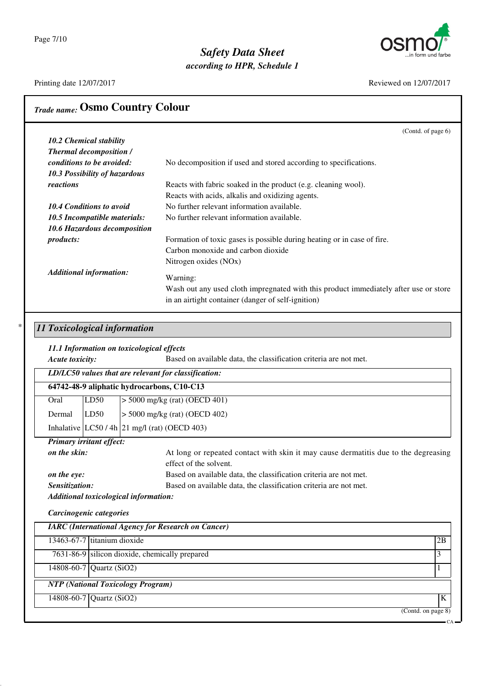Page 7/10

# *Safety Data Sheet*

*according to HPR, Schedule 1*



|                                                                      |                                                                                                | (Contd. of page 6) |
|----------------------------------------------------------------------|------------------------------------------------------------------------------------------------|--------------------|
| 10.2 Chemical stability                                              |                                                                                                |                    |
| <b>Thermal decomposition /</b>                                       |                                                                                                |                    |
| conditions to be avoided:                                            | No decomposition if used and stored according to specifications.                               |                    |
| 10.3 Possibility of hazardous                                        |                                                                                                |                    |
| reactions                                                            | Reacts with fabric soaked in the product (e.g. cleaning wool).                                 |                    |
| <b>10.4 Conditions to avoid</b>                                      | Reacts with acids, alkalis and oxidizing agents.<br>No further relevant information available. |                    |
| 10.5 Incompatible materials:                                         | No further relevant information available.                                                     |                    |
| 10.6 Hazardous decomposition                                         |                                                                                                |                    |
| products:                                                            | Formation of toxic gases is possible during heating or in case of fire.                        |                    |
|                                                                      | Carbon monoxide and carbon dioxide                                                             |                    |
|                                                                      | Nitrogen oxides (NOx)                                                                          |                    |
| <b>Additional information:</b>                                       |                                                                                                |                    |
|                                                                      | Warning:                                                                                       |                    |
|                                                                      | Wash out any used cloth impregnated with this product immediately after use or store           |                    |
|                                                                      | in an airtight container (danger of self-ignition)                                             |                    |
|                                                                      |                                                                                                |                    |
| 11 Toxicological information                                         |                                                                                                |                    |
| 11.1 Information on toxicological effects                            |                                                                                                |                    |
| Acute toxicity:                                                      | Based on available data, the classification criteria are not met.                              |                    |
|                                                                      |                                                                                                |                    |
|                                                                      |                                                                                                |                    |
| LD/LC50 values that are relevant for classification:                 |                                                                                                |                    |
| 64742-48-9 aliphatic hydrocarbons, C10-C13                           |                                                                                                |                    |
| LD50<br>Oral                                                         | $>$ 5000 mg/kg (rat) (OECD 401)                                                                |                    |
| Dermal<br>LD50                                                       | $>$ 5000 mg/kg (rat) (OECD 402)                                                                |                    |
| Inhalative $ LC50/4h 21$ mg/l (rat) (OECD 403)                       |                                                                                                |                    |
| Primary irritant effect:                                             |                                                                                                |                    |
| on the skin:                                                         | At long or repeated contact with skin it may cause dermatitis due to the degreasing            |                    |
|                                                                      | effect of the solvent.                                                                         |                    |
| on the eye:                                                          | Based on available data, the classification criteria are not met.                              |                    |
| Sensitization:                                                       | Based on available data, the classification criteria are not met.                              |                    |
| Additional toxicological information:                                |                                                                                                |                    |
| Carcinogenic categories                                              |                                                                                                |                    |
| <b>IARC</b> (International Agency for Research on Cancer)            |                                                                                                |                    |
| 13463-67-7 titanium dioxide                                          |                                                                                                | 2B                 |
| 7631-86-9 silicon dioxide, chemically prepared                       |                                                                                                | 3                  |
| 14808-60-7 Quartz (SiO2)                                             |                                                                                                | 1                  |
|                                                                      |                                                                                                |                    |
| <b>NTP</b> (National Toxicology Program)<br>14808-60-7 Quartz (SiO2) |                                                                                                | $\bf K$            |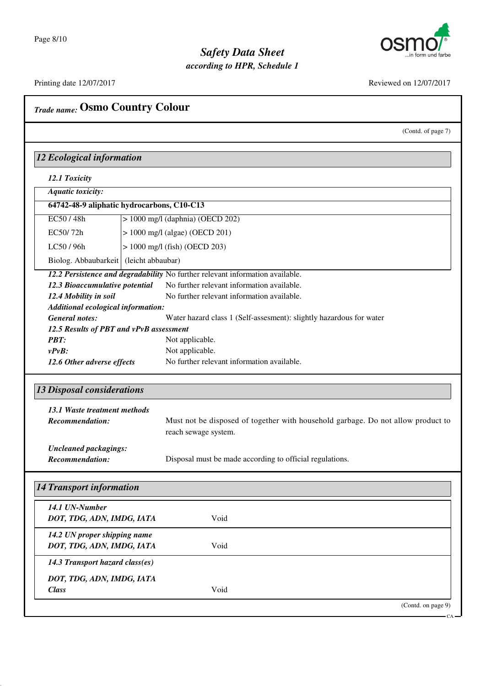

### *Safety Data Sheet according to HPR, Schedule 1*

| <b>12 Ecological information</b><br>12.1 Toxicity<br><b>Aquatic toxicity:</b><br>64742-48-9 aliphatic hydrocarbons, C10-C13<br>EC50/48h<br>$> 1000$ mg/l (daphnia) (OECD 202)<br>EC50/72h<br>$> 1000$ mg/l (algae) (OECD 201)<br>LC50 / 96h<br>$> 1000$ mg/l (fish) (OECD 203)<br>Biolog. Abbaubarkeit   (leicht abbaubar)<br>12.2 Persistence and degradability No further relevant information available.<br>12.3 Bioaccumulative potential<br>12.4 Mobility in soil<br>Additional ecological information:<br><b>General notes:</b><br>12.5 Results of PBT and vPvB assessment<br><b>PBT:</b><br>$v P v B$ :<br>12.6 Other adverse effects<br><b>13 Disposal considerations</b><br>13.1 Waste treatment methods<br><b>Recommendation:</b><br><b>Uncleaned packagings:</b><br><b>Recommendation:</b><br><b>14 Transport information</b><br>14.1 UN-Number<br>DOT, TDG, ADN, IMDG, IATA<br>14.2 UN proper shipping name<br>DOT, TDG, ADN, IMDG, IATA<br>14.3 Transport hazard class(es) | <b>Trade name: Osmo Country Colour</b>                                                                                                                               |
|-----------------------------------------------------------------------------------------------------------------------------------------------------------------------------------------------------------------------------------------------------------------------------------------------------------------------------------------------------------------------------------------------------------------------------------------------------------------------------------------------------------------------------------------------------------------------------------------------------------------------------------------------------------------------------------------------------------------------------------------------------------------------------------------------------------------------------------------------------------------------------------------------------------------------------------------------------------------------------------------|----------------------------------------------------------------------------------------------------------------------------------------------------------------------|
|                                                                                                                                                                                                                                                                                                                                                                                                                                                                                                                                                                                                                                                                                                                                                                                                                                                                                                                                                                                         | (Contd. of page 7)                                                                                                                                                   |
|                                                                                                                                                                                                                                                                                                                                                                                                                                                                                                                                                                                                                                                                                                                                                                                                                                                                                                                                                                                         |                                                                                                                                                                      |
|                                                                                                                                                                                                                                                                                                                                                                                                                                                                                                                                                                                                                                                                                                                                                                                                                                                                                                                                                                                         |                                                                                                                                                                      |
|                                                                                                                                                                                                                                                                                                                                                                                                                                                                                                                                                                                                                                                                                                                                                                                                                                                                                                                                                                                         |                                                                                                                                                                      |
|                                                                                                                                                                                                                                                                                                                                                                                                                                                                                                                                                                                                                                                                                                                                                                                                                                                                                                                                                                                         |                                                                                                                                                                      |
|                                                                                                                                                                                                                                                                                                                                                                                                                                                                                                                                                                                                                                                                                                                                                                                                                                                                                                                                                                                         |                                                                                                                                                                      |
|                                                                                                                                                                                                                                                                                                                                                                                                                                                                                                                                                                                                                                                                                                                                                                                                                                                                                                                                                                                         |                                                                                                                                                                      |
|                                                                                                                                                                                                                                                                                                                                                                                                                                                                                                                                                                                                                                                                                                                                                                                                                                                                                                                                                                                         |                                                                                                                                                                      |
|                                                                                                                                                                                                                                                                                                                                                                                                                                                                                                                                                                                                                                                                                                                                                                                                                                                                                                                                                                                         |                                                                                                                                                                      |
|                                                                                                                                                                                                                                                                                                                                                                                                                                                                                                                                                                                                                                                                                                                                                                                                                                                                                                                                                                                         |                                                                                                                                                                      |
|                                                                                                                                                                                                                                                                                                                                                                                                                                                                                                                                                                                                                                                                                                                                                                                                                                                                                                                                                                                         | No further relevant information available.                                                                                                                           |
|                                                                                                                                                                                                                                                                                                                                                                                                                                                                                                                                                                                                                                                                                                                                                                                                                                                                                                                                                                                         | No further relevant information available.                                                                                                                           |
|                                                                                                                                                                                                                                                                                                                                                                                                                                                                                                                                                                                                                                                                                                                                                                                                                                                                                                                                                                                         |                                                                                                                                                                      |
|                                                                                                                                                                                                                                                                                                                                                                                                                                                                                                                                                                                                                                                                                                                                                                                                                                                                                                                                                                                         | Water hazard class 1 (Self-assesment): slightly hazardous for water                                                                                                  |
|                                                                                                                                                                                                                                                                                                                                                                                                                                                                                                                                                                                                                                                                                                                                                                                                                                                                                                                                                                                         |                                                                                                                                                                      |
|                                                                                                                                                                                                                                                                                                                                                                                                                                                                                                                                                                                                                                                                                                                                                                                                                                                                                                                                                                                         | Not applicable.                                                                                                                                                      |
|                                                                                                                                                                                                                                                                                                                                                                                                                                                                                                                                                                                                                                                                                                                                                                                                                                                                                                                                                                                         | Not applicable.                                                                                                                                                      |
|                                                                                                                                                                                                                                                                                                                                                                                                                                                                                                                                                                                                                                                                                                                                                                                                                                                                                                                                                                                         | No further relevant information available.                                                                                                                           |
|                                                                                                                                                                                                                                                                                                                                                                                                                                                                                                                                                                                                                                                                                                                                                                                                                                                                                                                                                                                         | Must not be disposed of together with household garbage. Do not allow product to<br>reach sewage system.<br>Disposal must be made according to official regulations. |
|                                                                                                                                                                                                                                                                                                                                                                                                                                                                                                                                                                                                                                                                                                                                                                                                                                                                                                                                                                                         |                                                                                                                                                                      |
|                                                                                                                                                                                                                                                                                                                                                                                                                                                                                                                                                                                                                                                                                                                                                                                                                                                                                                                                                                                         |                                                                                                                                                                      |
|                                                                                                                                                                                                                                                                                                                                                                                                                                                                                                                                                                                                                                                                                                                                                                                                                                                                                                                                                                                         | Void                                                                                                                                                                 |
|                                                                                                                                                                                                                                                                                                                                                                                                                                                                                                                                                                                                                                                                                                                                                                                                                                                                                                                                                                                         | Void                                                                                                                                                                 |
|                                                                                                                                                                                                                                                                                                                                                                                                                                                                                                                                                                                                                                                                                                                                                                                                                                                                                                                                                                                         |                                                                                                                                                                      |
| DOT, TDG, ADN, IMDG, IATA<br><b>Class</b>                                                                                                                                                                                                                                                                                                                                                                                                                                                                                                                                                                                                                                                                                                                                                                                                                                                                                                                                               | Void                                                                                                                                                                 |
|                                                                                                                                                                                                                                                                                                                                                                                                                                                                                                                                                                                                                                                                                                                                                                                                                                                                                                                                                                                         | (Contd. on page 9)                                                                                                                                                   |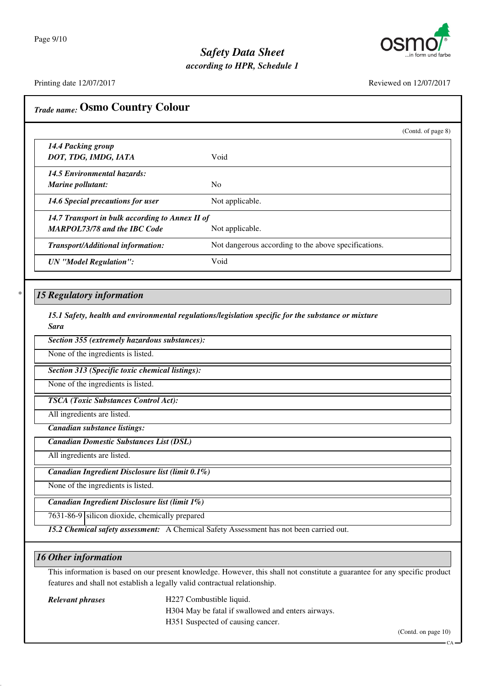

*according to HPR, Schedule 1*

Printing date 12/07/2017 Reviewed on 12/07/2017

| <b>Trade name: Osmo Country Colour</b>                                                 |                                                                                                                             |
|----------------------------------------------------------------------------------------|-----------------------------------------------------------------------------------------------------------------------------|
|                                                                                        | (Contd. of page 8)                                                                                                          |
| 14.4 Packing group<br>DOT, TDG, IMDG, IATA                                             | Void                                                                                                                        |
| <b>14.5 Environmental hazards:</b><br>Marine pollutant:                                | N <sub>0</sub>                                                                                                              |
| 14.6 Special precautions for user                                                      | Not applicable.                                                                                                             |
| 14.7 Transport in bulk according to Annex II of<br><b>MARPOL73/78 and the IBC Code</b> | Not applicable.                                                                                                             |
| Transport/Additional information:                                                      | Not dangerous according to the above specifications.                                                                        |
| <b>UN</b> "Model Regulation":                                                          | Void                                                                                                                        |
| <b>15 Regulatory information</b>                                                       |                                                                                                                             |
| <b>Sara</b>                                                                            | 15.1 Safety, health and environmental regulations/legislation specific for the substance or mixture                         |
| Section 355 (extremely hazardous substances):                                          |                                                                                                                             |
| None of the ingredients is listed.                                                     |                                                                                                                             |
| Section 313 (Specific toxic chemical listings):                                        |                                                                                                                             |
| None of the ingredients is listed.                                                     |                                                                                                                             |
| <b>TSCA</b> (Toxic Substances Control Act):                                            |                                                                                                                             |
| All ingredients are listed.                                                            |                                                                                                                             |
| Canadian substance listings:                                                           |                                                                                                                             |
| <b>Canadian Domestic Substances List (DSL)</b>                                         |                                                                                                                             |
| All ingredients are listed.                                                            |                                                                                                                             |
| Canadian Ingredient Disclosure list (limit 0.1%)                                       |                                                                                                                             |
| None of the ingredients is listed.                                                     |                                                                                                                             |
| Canadian Ingredient Disclosure list (limit 1%)                                         |                                                                                                                             |
| 7631-86-9 silicon dioxide, chemically prepared                                         |                                                                                                                             |
|                                                                                        | 15.2 Chemical safety assessment: A Chemical Safety Assessment has not been carried out.                                     |
| <b>16 Other information</b>                                                            |                                                                                                                             |
|                                                                                        | This information is based on our present knowledge. However, this shall not constitute a guarantee for any specific product |
|                                                                                        | features and shall not establish a legally valid contractual relationship.                                                  |
| <b>Relevant phrases</b>                                                                | H227 Combustible liquid.<br>H304 May be fatal if swallowed and enters airways.<br>H351 Suspected of causing cancer.         |

 $CA -$